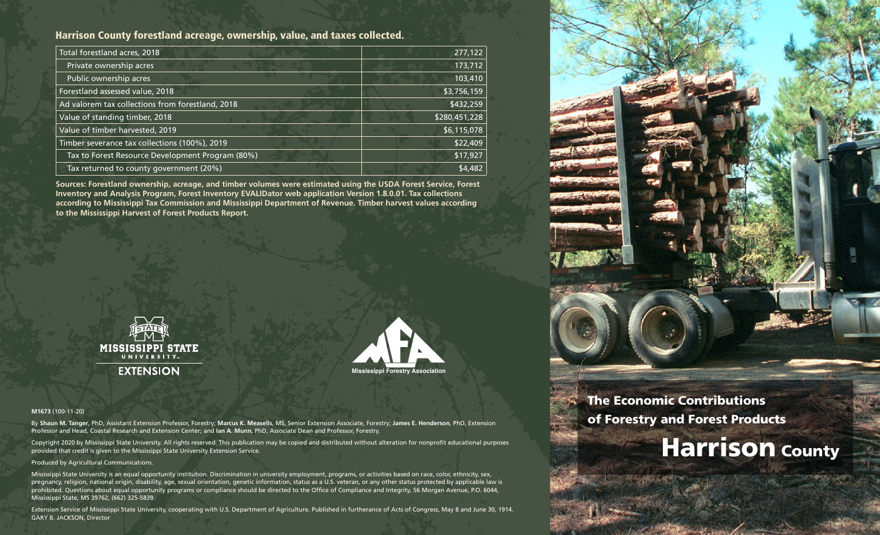#### Harrison County forestland acreage, ownership, value, and taxes collected.

| Total forestland acres, 2018                     | 277,122       |
|--------------------------------------------------|---------------|
| Private ownership acres                          | 173,712       |
| Public ownership acres                           | 103,410       |
| Forestland assessed value, 2018                  | \$3,756,159   |
| Ad valorem tax collections from forestland, 2018 | \$432,259     |
| Value of standing timber, 2018                   | \$280,451,228 |
| Value of timber harvested, 2019                  | \$6,115,078   |
| Timber severance tax collections (100%), 2019    | \$22,409      |
| Tax to Forest Resource Development Program (80%) | \$17,927      |
| Tax returned to county government (20%)          | \$4,482       |

**Sources: Forestland ownership, acreage, and timber volumes were estimated using the USDA Forest Service, Forest Inventory and Analysis Program, Forest Inventory EVALIDator web application Version 1.8.0.01. Tax collections according to Mississippi Tax Commission and Mississippi Department of Revenue. Timber harvest values according to the Mississippi Harvest of Forest Products Report.**





#### **M1673** (100-11-20)

By **Shaun M. Tanger**, PhD, Assistant Extension Professor, Forestry; **Marcus K. Measells**, MS, Senior Extension Associate, Forestry; **James E. Henderson**, PhD, Extension Professor and Head, Coastal Research and Extension Center; and **Ian A. Munn**, PhD, Associate Dean and Professor, Forestry.

Copyright 2020 by Mississippi State University. All rights reserved. This publication may be copied and distributed without alteration for nonprofit educational purposes provided that credit is given to the Mississippi State University Extension Service.

#### Produced by Agricultural Communications.

Mississippi State University is an equal opportunity institution. Discrimination in university employment, programs, or activities based on race, color, ethnicity, sex, pregnancy, religion, national origin, disability, age, sexual orientation, genetic information, status as a U.S. veteran, or any other status protected by applicable law is prohibited. Questions about equal opportunity programs or compliance should be directed to the Office of Compliance and Integrity, 56 Morgan Avenue, P.O. 6044, Mississippi State, MS 39762, (662) 325-5839.

Extension Service of Mississippi State University, cooperating with U.S. Department of Agriculture. Published in furtherance of Acts of Congress, May 8 and June 30, 1914. GARY B. JACKSON, Director



### The Economic Contributions of Forestry and Forest Products

# **Harrison County**